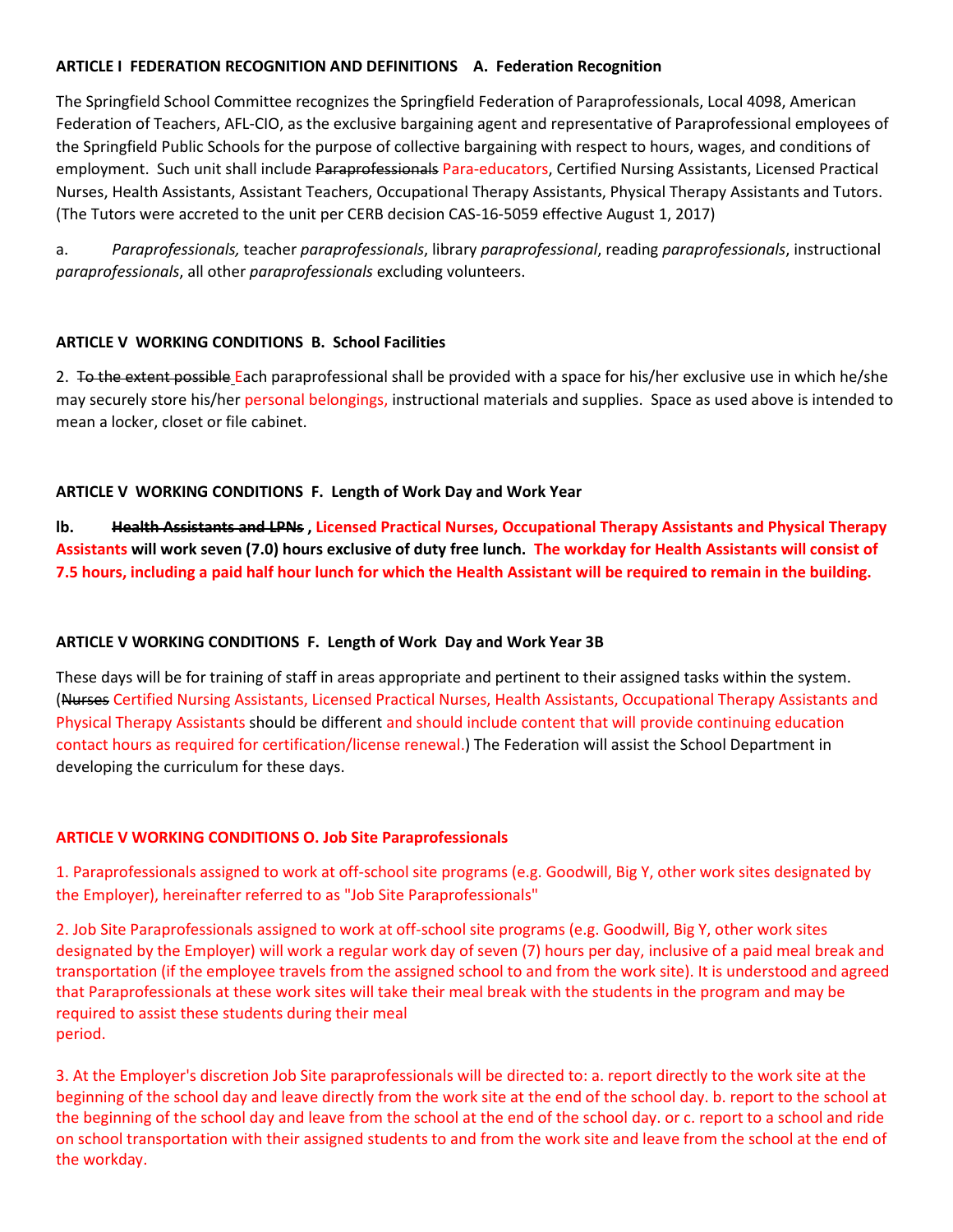## **ARTICLE I FEDERATION RECOGNITION AND DEFINITIONS A. Federation Recognition**

The Springfield School Committee recognizes the Springfield Federation of Paraprofessionals, Local 4098, American Federation of Teachers, AFL-CIO, as the exclusive bargaining agent and representative of Paraprofessional employees of the Springfield Public Schools for the purpose of collective bargaining with respect to hours, wages, and conditions of employment. Such unit shall include Paraprofessionals Para-educators, Certified Nursing Assistants, Licensed Practical Nurses, Health Assistants, Assistant Teachers, Occupational Therapy Assistants, Physical Therapy Assistants and Tutors. (The Tutors were accreted to the unit per CERB decision CAS-16-5059 effective August 1, 2017)

a. *Paraprofessionals,* teacher *paraprofessionals*, library *paraprofessional*, reading *paraprofessionals*, instructional *paraprofessionals*, all other *paraprofessionals* excluding volunteers.

## **ARTICLE V WORKING CONDITIONS B. School Facilities**

2. To the extent possible Each paraprofessional shall be provided with a space for his/her exclusive use in which he/she may securely store his/her personal belongings, instructional materials and supplies. Space as used above is intended to mean a locker, closet or file cabinet.

## **ARTICLE V WORKING CONDITIONS F. Length of Work Day and Work Year**

**lb. Health Assistants and LPNs , Licensed Practical Nurses, Occupational Therapy Assistants and Physical Therapy Assistants will work seven (7.0) hours exclusive of duty free lunch. The workday for Health Assistants will consist of 7.5 hours, including a paid half hour lunch for which the Health Assistant will be required to remain in the building.**

### **ARTICLE V WORKING CONDITIONS F. Length of Work Day and Work Year 3B**

These days will be for training of staff in areas appropriate and pertinent to their assigned tasks within the system. (Nurses Certified Nursing Assistants, Licensed Practical Nurses, Health Assistants, Occupational Therapy Assistants and Physical Therapy Assistants should be different and should include content that will provide continuing education contact hours as required for certification/license renewal.) The Federation will assist the School Department in developing the curriculum for these days.

### **ARTICLE V WORKING CONDITIONS O. Job Site Paraprofessionals**

1. Paraprofessionals assigned to work at off-school site programs (e.g. Goodwill, Big Y, other work sites designated by the Employer), hereinafter referred to as "Job Site Paraprofessionals"

2. Job Site Paraprofessionals assigned to work at off-school site programs (e.g. Goodwill, Big Y, other work sites designated by the Employer) will work a regular work day of seven (7) hours per day, inclusive of a paid meal break and transportation (if the employee travels from the assigned school to and from the work site). It is understood and agreed that Paraprofessionals at these work sites will take their meal break with the students in the program and may be required to assist these students during their meal period.

3. At the Employer's discretion Job Site paraprofessionals will be directed to: a. report directly to the work site at the beginning of the school day and leave directly from the work site at the end of the school day. b. report to the school at the beginning of the school day and leave from the school at the end of the school day. or c. report to a school and ride on school transportation with their assigned students to and from the work site and leave from the school at the end of the workday.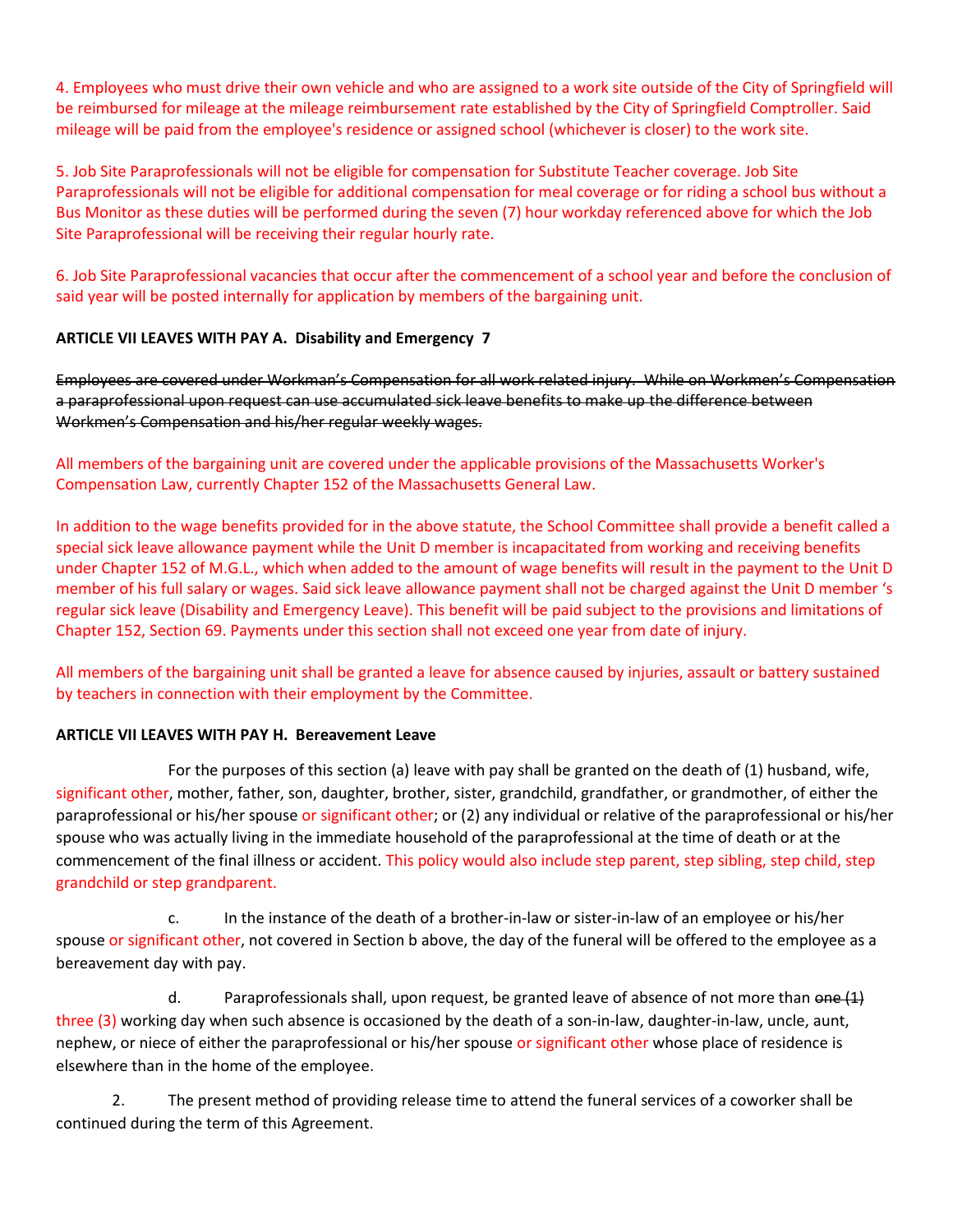4. Employees who must drive their own vehicle and who are assigned to a work site outside of the City of Springfield will be reimbursed for mileage at the mileage reimbursement rate established by the City of Springfield Comptroller. Said mileage will be paid from the employee's residence or assigned school (whichever is closer) to the work site.

5. Job Site Paraprofessionals will not be eligible for compensation for Substitute Teacher coverage. Job Site Paraprofessionals will not be eligible for additional compensation for meal coverage or for riding a school bus without a Bus Monitor as these duties will be performed during the seven (7) hour workday referenced above for which the Job Site Paraprofessional will be receiving their regular hourly rate.

6. Job Site Paraprofessional vacancies that occur after the commencement of a school year and before the conclusion of said year will be posted internally for application by members of the bargaining unit.

## **ARTICLE VII LEAVES WITH PAY A. Disability and Emergency 7**

Employees are covered under Workman's Compensation for all work related injury. While on Workmen's Compensation a paraprofessional upon request can use accumulated sick leave benefits to make up the difference between Workmen's Compensation and his/her regular weekly wages.

# All members of the bargaining unit are covered under the applicable provisions of the Massachusetts Worker's Compensation Law, currently Chapter 152 of the Massachusetts General Law.

In addition to the wage benefits provided for in the above statute, the School Committee shall provide a benefit called a special sick leave allowance payment while the Unit D member is incapacitated from working and receiving benefits under Chapter 152 of M.G.L., which when added to the amount of wage benefits will result in the payment to the Unit D member of his full salary or wages. Said sick leave allowance payment shall not be charged against the Unit D member 's regular sick leave (Disability and Emergency Leave). This benefit will be paid subject to the provisions and limitations of Chapter 152, Section 69. Payments under this section shall not exceed one year from date of injury.

All members of the bargaining unit shall be granted a leave for absence caused by injuries, assault or battery sustained by teachers in connection with their employment by the Committee.

## **ARTICLE VII LEAVES WITH PAY H. Bereavement Leave**

For the purposes of this section (a) leave with pay shall be granted on the death of (1) husband, wife, significant other, mother, father, son, daughter, brother, sister, grandchild, grandfather, or grandmother, of either the paraprofessional or his/her spouse or significant other; or (2) any individual or relative of the paraprofessional or his/her spouse who was actually living in the immediate household of the paraprofessional at the time of death or at the commencement of the final illness or accident. This policy would also include step parent, step sibling, step child, step grandchild or step grandparent.

c. In the instance of the death of a brother-in-law or sister-in-law of an employee or his/her spouse or significant other, not covered in Section b above, the day of the funeral will be offered to the employee as a bereavement day with pay.

d. Paraprofessionals shall, upon request, be granted leave of absence of not more than  $\theta$  =  $(1)$ three (3) working day when such absence is occasioned by the death of a son-in-law, daughter-in-law, uncle, aunt, nephew, or niece of either the paraprofessional or his/her spouse or significant other whose place of residence is elsewhere than in the home of the employee.

2. The present method of providing release time to attend the funeral services of a coworker shall be continued during the term of this Agreement.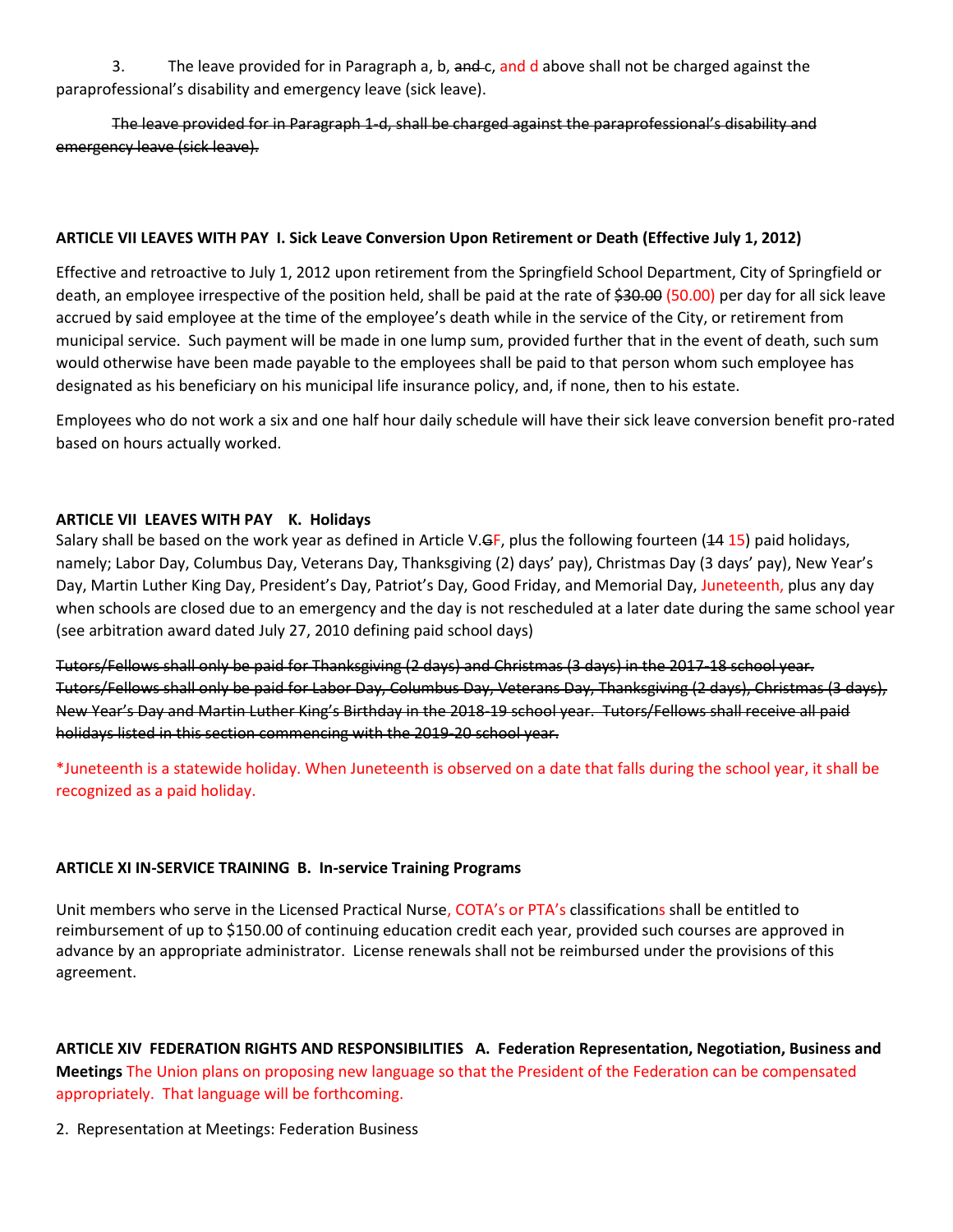3. The leave provided for in Paragraph a, b, and c, and d above shall not be charged against the paraprofessional's disability and emergency leave (sick leave).

The leave provided for in Paragraph 1-d, shall be charged against the paraprofessional's disability and emergency leave (sick leave).

## **ARTICLE VII LEAVES WITH PAY I. Sick Leave Conversion Upon Retirement or Death (Effective July 1, 2012)**

Effective and retroactive to July 1, 2012 upon retirement from the Springfield School Department, City of Springfield or death, an employee irrespective of the position held, shall be paid at the rate of \$30.00 (50.00) per day for all sick leave accrued by said employee at the time of the employee's death while in the service of the City, or retirement from municipal service. Such payment will be made in one lump sum, provided further that in the event of death, such sum would otherwise have been made payable to the employees shall be paid to that person whom such employee has designated as his beneficiary on his municipal life insurance policy, and, if none, then to his estate.

Employees who do not work a six and one half hour daily schedule will have their sick leave conversion benefit pro-rated based on hours actually worked.

## **ARTICLE VII LEAVES WITH PAY K. Holidays**

Salary shall be based on the work year as defined in Article V.GF, plus the following fourteen (44 15) paid holidays, namely; Labor Day, Columbus Day, Veterans Day, Thanksgiving (2) days' pay), Christmas Day (3 days' pay), New Year's Day, Martin Luther King Day, President's Day, Patriot's Day, Good Friday, and Memorial Day, Juneteenth, plus any day when schools are closed due to an emergency and the day is not rescheduled at a later date during the same school year (see arbitration award dated July 27, 2010 defining paid school days)

Tutors/Fellows shall only be paid for Thanksgiving (2 days) and Christmas (3 days) in the 2017-18 school year. Tutors/Fellows shall only be paid for Labor Day, Columbus Day, Veterans Day, Thanksgiving (2 days), Christmas (3 days), New Year's Day and Martin Luther King's Birthday in the 2018-19 school year. Tutors/Fellows shall receive all paid holidays listed in this section commencing with the 2019-20 school year.

\*Juneteenth is a statewide holiday. When Juneteenth is observed on a date that falls during the school year, it shall be recognized as a paid holiday.

## **ARTICLE XI IN-SERVICE TRAINING B. In-service Training Programs**

Unit members who serve in the Licensed Practical Nurse, COTA's or PTA's classifications shall be entitled to reimbursement of up to \$150.00 of continuing education credit each year, provided such courses are approved in advance by an appropriate administrator. License renewals shall not be reimbursed under the provisions of this agreement.

**ARTICLE XIV FEDERATION RIGHTS AND RESPONSIBILITIES A. Federation Representation, Negotiation, Business and Meetings** The Union plans on proposing new language so that the President of the Federation can be compensated appropriately. That language will be forthcoming.

2. Representation at Meetings: Federation Business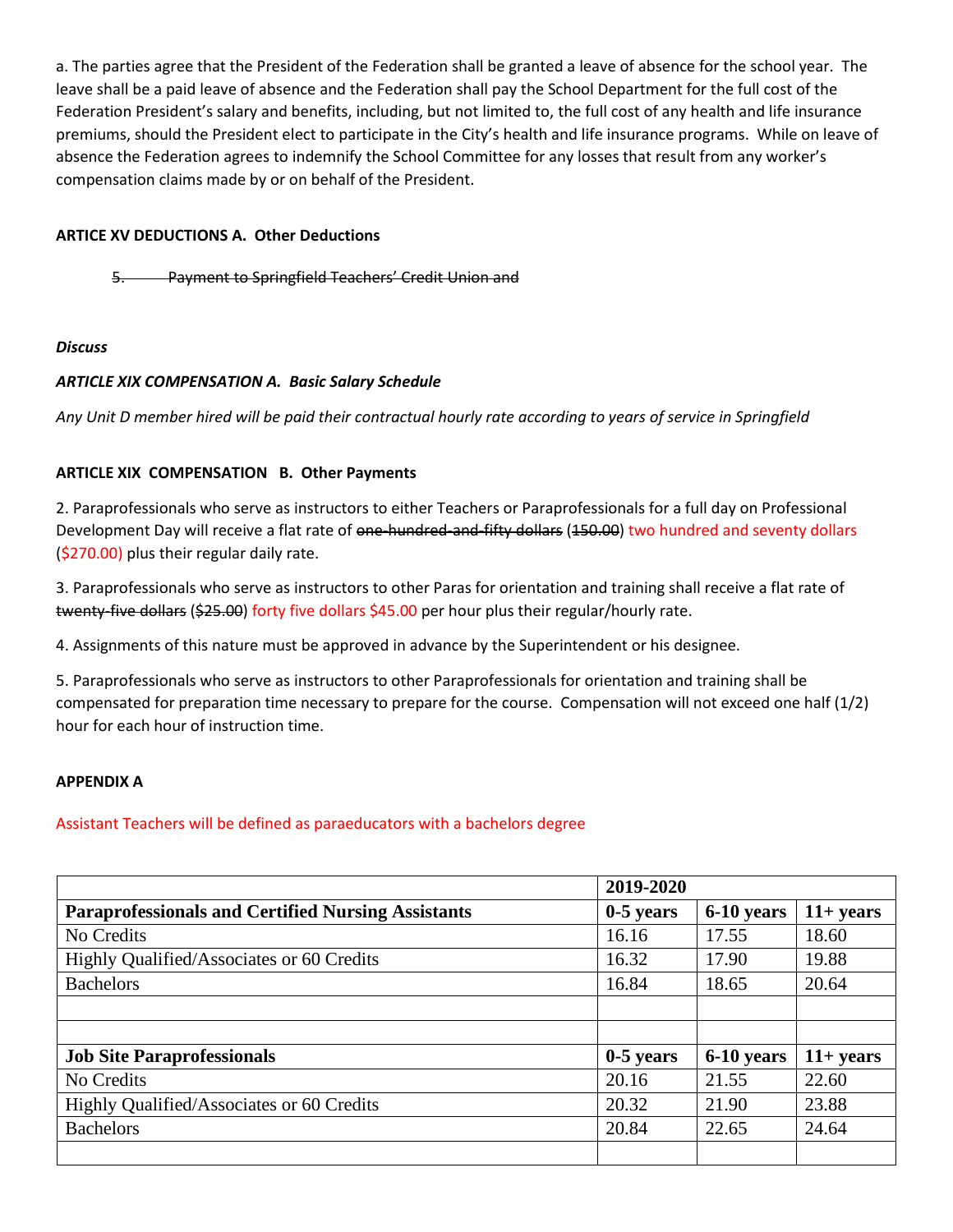a. The parties agree that the President of the Federation shall be granted a leave of absence for the school year. The leave shall be a paid leave of absence and the Federation shall pay the School Department for the full cost of the Federation President's salary and benefits, including, but not limited to, the full cost of any health and life insurance premiums, should the President elect to participate in the City's health and life insurance programs. While on leave of absence the Federation agrees to indemnify the School Committee for any losses that result from any worker's compensation claims made by or on behalf of the President.

## **ARTICE XV DEDUCTIONS A. Other Deductions**

5. Payment to Springfield Teachers' Credit Union and

### *Discuss*

### *ARTICLE XIX COMPENSATION A. Basic Salary Schedule*

*Any Unit D member hired will be paid their contractual hourly rate according to years of service in Springfield* 

### **ARTICLE XIX COMPENSATION B. Other Payments**

2. Paraprofessionals who serve as instructors to either Teachers or Paraprofessionals for a full day on Professional Development Day will receive a flat rate of one-hundred-and-fifty dollars (150.00) two hundred and seventy dollars (\$270.00) plus their regular daily rate.

3. Paraprofessionals who serve as instructors to other Paras for orientation and training shall receive a flat rate of twenty-five dollars (\$25.00) forty five dollars \$45.00 per hour plus their regular/hourly rate.

4. Assignments of this nature must be approved in advance by the Superintendent or his designee.

5. Paraprofessionals who serve as instructors to other Paraprofessionals for orientation and training shall be compensated for preparation time necessary to prepare for the course. Compensation will not exceed one half (1/2) hour for each hour of instruction time.

#### **APPENDIX A**

Assistant Teachers will be defined as paraeducators with a bachelors degree

|                                                           | 2019-2020   |            |             |
|-----------------------------------------------------------|-------------|------------|-------------|
| <b>Paraprofessionals and Certified Nursing Assistants</b> | $0-5$ years | 6-10 years | $11+ years$ |
| No Credits                                                | 16.16       | 17.55      | 18.60       |
| Highly Qualified/Associates or 60 Credits                 | 16.32       | 17.90      | 19.88       |
| <b>Bachelors</b>                                          | 16.84       | 18.65      | 20.64       |
|                                                           |             |            |             |
|                                                           |             |            |             |
| <b>Job Site Paraprofessionals</b>                         | $0-5$ years | 6-10 years | $11+ years$ |
| No Credits                                                | 20.16       | 21.55      | 22.60       |
| Highly Qualified/Associates or 60 Credits                 | 20.32       | 21.90      | 23.88       |
| <b>Bachelors</b>                                          | 20.84       | 22.65      | 24.64       |
|                                                           |             |            |             |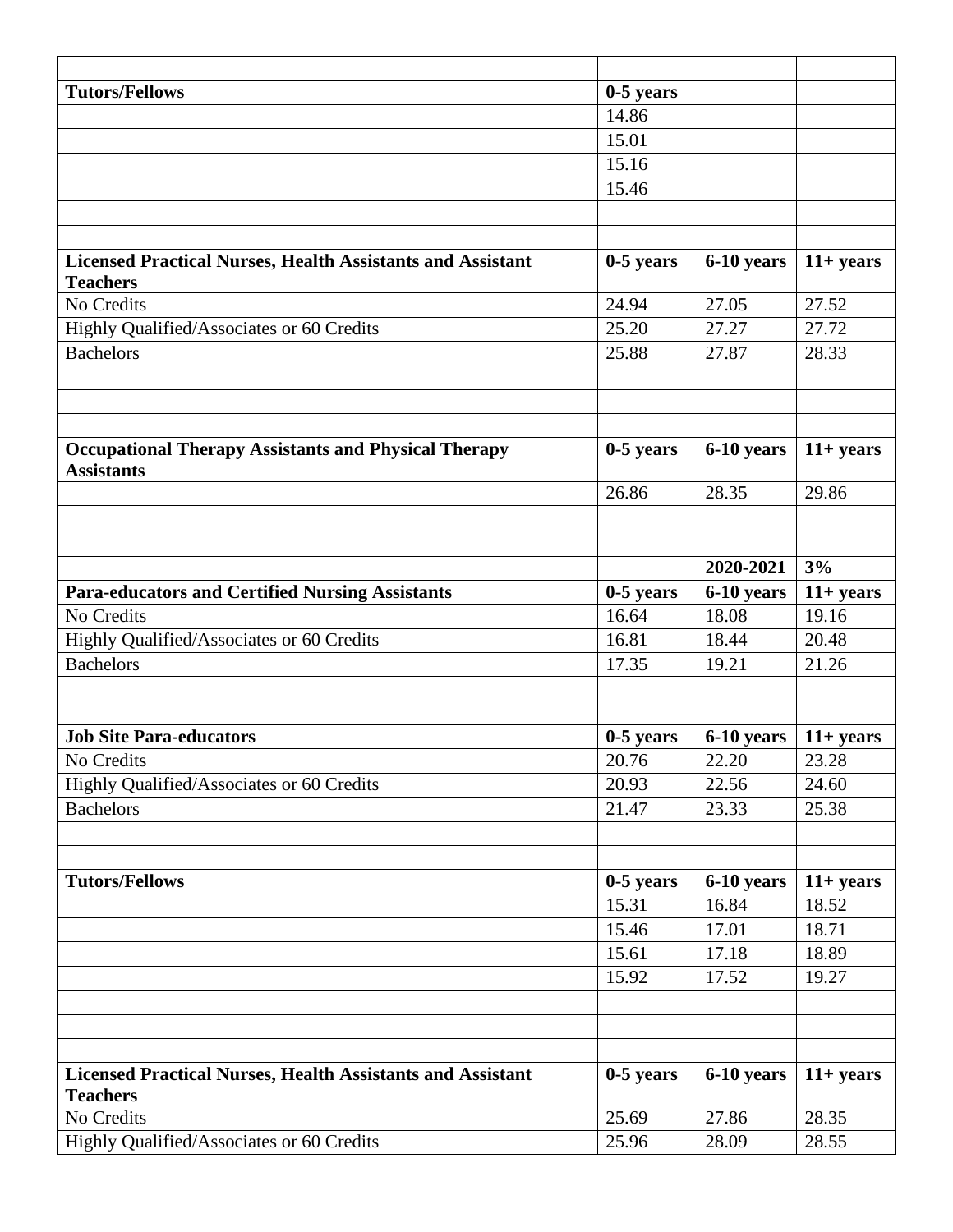| <b>Tutors/Fellows</b>                                                                | $0-5$ years |            |              |
|--------------------------------------------------------------------------------------|-------------|------------|--------------|
|                                                                                      | 14.86       |            |              |
|                                                                                      | 15.01       |            |              |
|                                                                                      | 15.16       |            |              |
|                                                                                      | 15.46       |            |              |
|                                                                                      |             |            |              |
|                                                                                      |             |            |              |
| <b>Licensed Practical Nurses, Health Assistants and Assistant</b><br><b>Teachers</b> | $0-5$ years | 6-10 years | $11+ years$  |
| No Credits                                                                           | 24.94       | 27.05      | 27.52        |
| Highly Qualified/Associates or 60 Credits                                            | 25.20       | 27.27      | 27.72        |
| <b>Bachelors</b>                                                                     | 25.88       | 27.87      | 28.33        |
|                                                                                      |             |            |              |
|                                                                                      |             |            |              |
| <b>Occupational Therapy Assistants and Physical Therapy</b>                          | $0-5$ years | 6-10 years | $11+ years$  |
| <b>Assistants</b>                                                                    |             |            |              |
|                                                                                      | 26.86       | 28.35      | 29.86        |
|                                                                                      |             |            |              |
|                                                                                      |             |            |              |
|                                                                                      |             | 2020-2021  | 3%           |
| <b>Para-educators and Certified Nursing Assistants</b>                               | $0-5$ years | 6-10 years | $11 + years$ |
| No Credits                                                                           | 16.64       | 18.08      | 19.16        |
| Highly Qualified/Associates or 60 Credits                                            | 16.81       | 18.44      | 20.48        |
| <b>Bachelors</b>                                                                     | 17.35       | 19.21      | 21.26        |
|                                                                                      |             |            |              |
|                                                                                      |             |            |              |
| <b>Job Site Para-educators</b>                                                       | $0-5$ years | 6-10 years | $11+ years$  |
| No Credits                                                                           | 20.76       | 22.20      | 23.28        |
| Highly Qualified/Associates or 60 Credits                                            | 20.93       | 22.56      | 24.60        |
| <b>Bachelors</b>                                                                     | 21.47       | 23.33      | 25.38        |
|                                                                                      |             |            |              |
|                                                                                      |             |            |              |
| <b>Tutors/Fellows</b>                                                                | $0-5$ years | 6-10 years | $11 + years$ |
|                                                                                      | 15.31       | 16.84      | 18.52        |
|                                                                                      | 15.46       | 17.01      | 18.71        |
|                                                                                      | 15.61       | 17.18      | 18.89        |
|                                                                                      | 15.92       | 17.52      | 19.27        |
|                                                                                      |             |            |              |
|                                                                                      |             |            |              |
|                                                                                      |             |            |              |
| <b>Licensed Practical Nurses, Health Assistants and Assistant</b>                    | $0-5$ years | 6-10 years | $11+ years$  |
| <b>Teachers</b>                                                                      | 25.69       | 27.86      | 28.35        |
| No Credits                                                                           |             |            |              |
| Highly Qualified/Associates or 60 Credits                                            | 25.96       | 28.09      | 28.55        |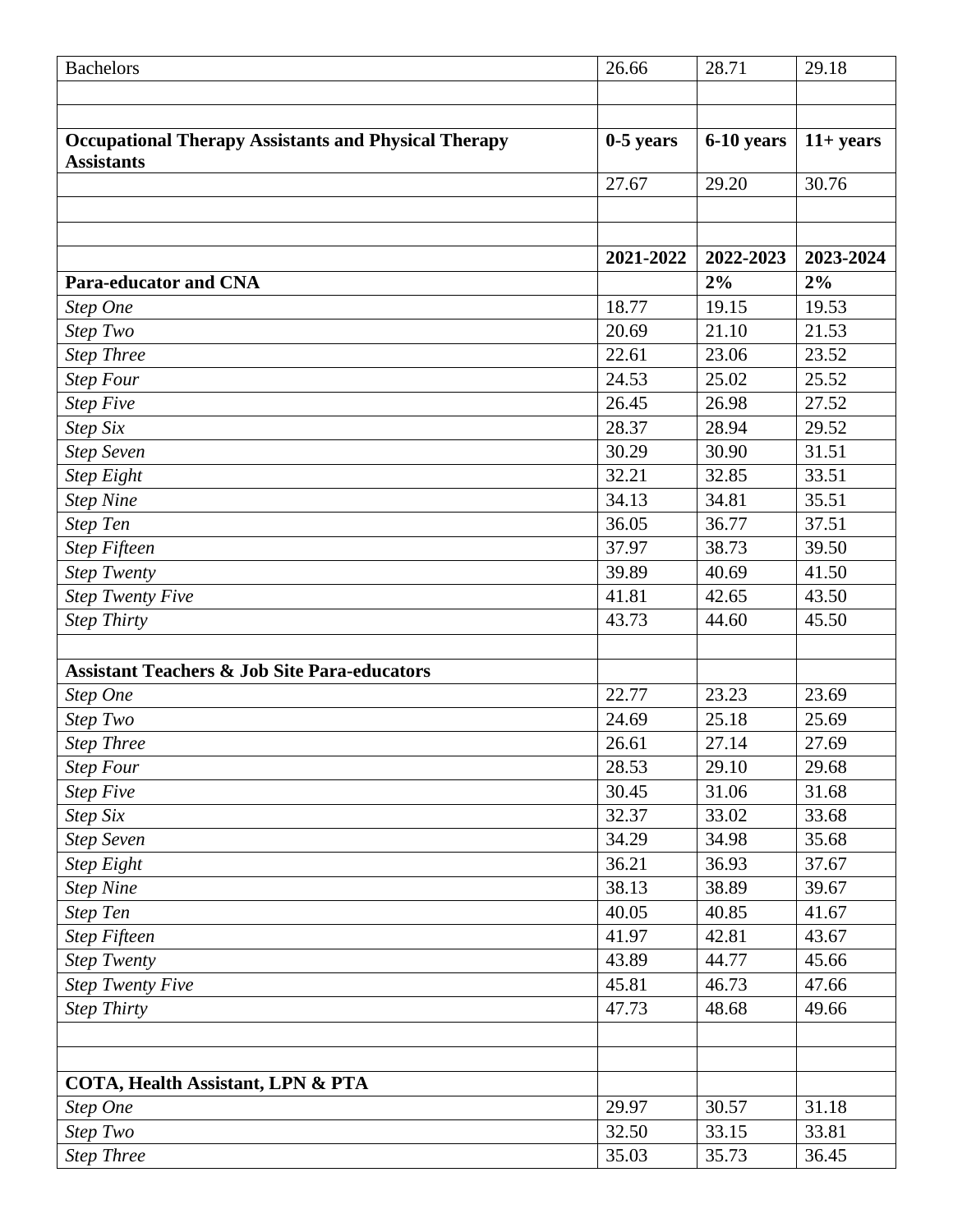| <b>Bachelors</b>                                            | 26.66       | 28.71      | 29.18       |
|-------------------------------------------------------------|-------------|------------|-------------|
|                                                             |             |            |             |
|                                                             |             |            |             |
| <b>Occupational Therapy Assistants and Physical Therapy</b> | $0-5$ years | 6-10 years | $11+ years$ |
| <b>Assistants</b>                                           |             |            |             |
|                                                             | 27.67       | 29.20      | 30.76       |
|                                                             |             |            |             |
|                                                             |             |            |             |
|                                                             | 2021-2022   | 2022-2023  | 2023-2024   |
| <b>Para-educator and CNA</b>                                |             | 2%         | 2%          |
| Step One                                                    | 18.77       | 19.15      | 19.53       |
| Step Two                                                    | 20.69       | 21.10      | 21.53       |
| <b>Step Three</b>                                           | 22.61       | 23.06      | 23.52       |
| <b>Step Four</b>                                            | 24.53       | 25.02      | 25.52       |
| <b>Step Five</b>                                            | 26.45       | 26.98      | 27.52       |
| Step Six                                                    | 28.37       | 28.94      | 29.52       |
| <b>Step Seven</b>                                           | 30.29       | 30.90      | 31.51       |
| <b>Step Eight</b>                                           | 32.21       | 32.85      | 33.51       |
| <b>Step Nine</b>                                            | 34.13       | 34.81      | 35.51       |
| <b>Step Ten</b>                                             | 36.05       | 36.77      | 37.51       |
| <b>Step Fifteen</b>                                         | 37.97       | 38.73      | 39.50       |
| <b>Step Twenty</b>                                          | 39.89       | 40.69      | 41.50       |
| <b>Step Twenty Five</b>                                     | 41.81       | 42.65      | 43.50       |
| <b>Step Thirty</b>                                          | 43.73       | 44.60      | 45.50       |
|                                                             |             |            |             |
| <b>Assistant Teachers &amp; Job Site Para-educators</b>     |             |            |             |
| Step One                                                    | 22.77       | 23.23      | 23.69       |
| Step Two                                                    | 24.69       | 25.18      | 25.69       |
| <b>Step Three</b>                                           | 26.61       | 27.14      | 27.69       |
| <b>Step Four</b>                                            | 28.53       | 29.10      | 29.68       |
| <b>Step Five</b>                                            | 30.45       | 31.06      | 31.68       |
| Step Six                                                    | 32.37       | 33.02      | 33.68       |
| <b>Step Seven</b>                                           | 34.29       | 34.98      | 35.68       |
| <b>Step Eight</b>                                           | 36.21       | 36.93      | 37.67       |
| <b>Step Nine</b>                                            | 38.13       | 38.89      | 39.67       |
| <b>Step Ten</b>                                             | 40.05       | 40.85      | 41.67       |
| <b>Step Fifteen</b>                                         | 41.97       | 42.81      | 43.67       |
| <b>Step Twenty</b>                                          | 43.89       | 44.77      | 45.66       |
| <b>Step Twenty Five</b>                                     | 45.81       | 46.73      | 47.66       |
| <b>Step Thirty</b>                                          | 47.73       | 48.68      | 49.66       |
|                                                             |             |            |             |
|                                                             |             |            |             |
| COTA, Health Assistant, LPN & PTA                           |             |            |             |
| Step One                                                    | 29.97       | 30.57      | 31.18       |
| Step Two                                                    | 32.50       | 33.15      | 33.81       |
| <b>Step Three</b>                                           | 35.03       | 35.73      | 36.45       |